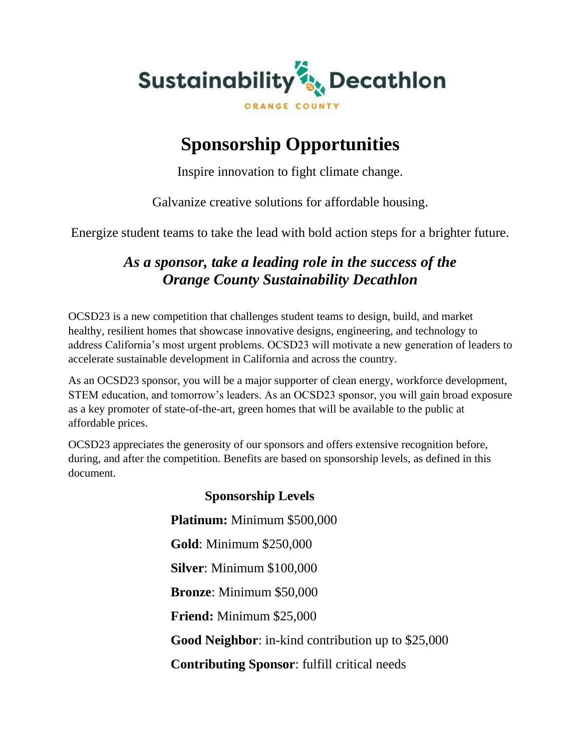

## **Sponsorship Opportunities**

Inspire innovation to fight climate change.

Galvanize creative solutions for affordable housing.

Energize student teams to take the lead with bold action steps for a brighter future.

### *As a sponsor, take a leading role in the success of the Orange County Sustainability Decathlon*

OCSD23 is a new competition that challenges student teams to design, build, and market healthy, resilient homes that showcase innovative designs, engineering, and technology to address California's most urgent problems. OCSD23 will motivate a new generation of leaders to accelerate sustainable development in California and across the country.

As an OCSD23 sponsor, you will be a major supporter of clean energy, workforce development, STEM education, and tomorrow's leaders. As an OCSD23 sponsor, you will gain broad exposure as a key promoter of state-of-the-art, green homes that will be available to the public at affordable prices.

OCSD23 appreciates the generosity of our sponsors and offers extensive recognition before, during, and after the competition. Benefits are based on sponsorship levels, as defined in this document.

# **Sponsorship Levels Platinum:** Minimum \$500,000 **Gold**: Minimum \$250,000 **Silver**: Minimum \$100,000 **Bronze**: Minimum \$50,000 **Friend:** Minimum \$25,000 **Good Neighbor**: in-kind contribution up to \$25,000 **Contributing Sponsor**: fulfill critical needs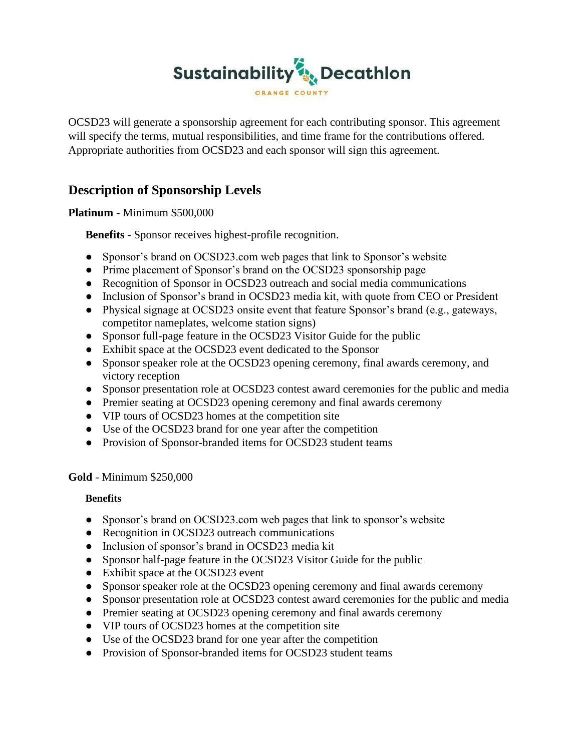

OCSD23 will generate a sponsorship agreement for each contributing sponsor. This agreement will specify the terms, mutual responsibilities, and time frame for the contributions offered. Appropriate authorities from OCSD23 and each sponsor will sign this agreement.

### **Description of Sponsorship Levels**

**Platinum** - Minimum \$500,000

**Benefits -** Sponsor receives highest-profile recognition.

- Sponsor's brand on OCSD23.com web pages that link to Sponsor's website
- Prime placement of Sponsor's brand on the OCSD23 sponsorship page
- Recognition of Sponsor in OCSD23 outreach and social media communications
- Inclusion of Sponsor's brand in OCSD23 media kit, with quote from CEO or President
- Physical signage at OCSD23 onsite event that feature Sponsor's brand (e.g., gateways, competitor nameplates, welcome station signs)
- Sponsor full-page feature in the OCSD23 Visitor Guide for the public
- Exhibit space at the OCSD23 event dedicated to the Sponsor
- Sponsor speaker role at the OCSD23 opening ceremony, final awards ceremony, and victory reception
- Sponsor presentation role at OCSD23 contest award ceremonies for the public and media
- Premier seating at OCSD23 opening ceremony and final awards ceremony
- VIP tours of OCSD23 homes at the competition site
- Use of the OCSD23 brand for one year after the competition
- Provision of Sponsor-branded items for OCSD23 student teams

#### **Gold** - Minimum \$250,000

#### **Benefits**

- Sponsor's brand on OCSD23.com web pages that link to sponsor's website
- Recognition in OCSD23 outreach communications
- Inclusion of sponsor's brand in OCSD23 media kit
- Sponsor half-page feature in the OCSD23 Visitor Guide for the public
- Exhibit space at the OCSD23 event
- Sponsor speaker role at the OCSD23 opening ceremony and final awards ceremony
- Sponsor presentation role at OCSD23 contest award ceremonies for the public and media
- Premier seating at OCSD23 opening ceremony and final awards ceremony
- VIP tours of OCSD23 homes at the competition site
- Use of the OCSD23 brand for one year after the competition
- Provision of Sponsor-branded items for OCSD23 student teams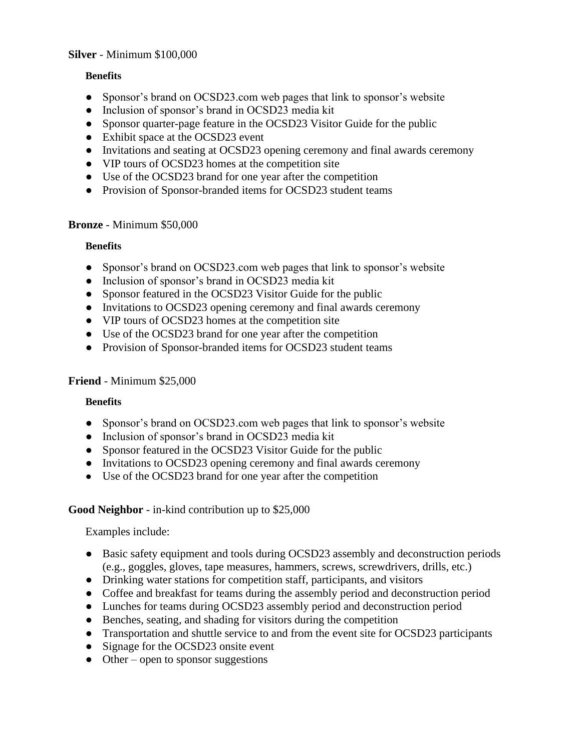#### **Silver** - Minimum \$100,000

#### **Benefits**

- Sponsor's brand on OCSD23.com web pages that link to sponsor's website
- Inclusion of sponsor's brand in OCSD23 media kit
- Sponsor quarter-page feature in the OCSD23 Visitor Guide for the public
- Exhibit space at the OCSD23 event
- Invitations and seating at OCSD23 opening ceremony and final awards ceremony
- VIP tours of OCSD23 homes at the competition site
- Use of the OCSD23 brand for one year after the competition
- Provision of Sponsor-branded items for OCSD23 student teams

#### **Bronze** - Minimum \$50,000

#### **Benefits**

- Sponsor's brand on OCSD23.com web pages that link to sponsor's website
- Inclusion of sponsor's brand in OCSD23 media kit
- Sponsor featured in the OCSD23 Visitor Guide for the public
- Invitations to OCSD23 opening ceremony and final awards ceremony
- VIP tours of OCSD23 homes at the competition site
- Use of the OCSD23 brand for one year after the competition
- Provision of Sponsor-branded items for OCSD23 student teams

#### **Friend** - Minimum \$25,000

#### **Benefits**

- Sponsor's brand on OCSD23.com web pages that link to sponsor's website
- Inclusion of sponsor's brand in OCSD23 media kit
- Sponsor featured in the OCSD23 Visitor Guide for the public
- Invitations to OCSD23 opening ceremony and final awards ceremony
- Use of the OCSD23 brand for one year after the competition

#### **Good Neighbor** - in-kind contribution up to \$25,000

#### Examples include:

- Basic safety equipment and tools during OCSD23 assembly and deconstruction periods (e.g., goggles, gloves, tape measures, hammers, screws, screwdrivers, drills, etc.)
- Drinking water stations for competition staff, participants, and visitors
- Coffee and breakfast for teams during the assembly period and deconstruction period
- Lunches for teams during OCSD23 assembly period and deconstruction period
- Benches, seating, and shading for visitors during the competition
- Transportation and shuttle service to and from the event site for OCSD23 participants
- Signage for the OCSD23 onsite event
- Other open to sponsor suggestions